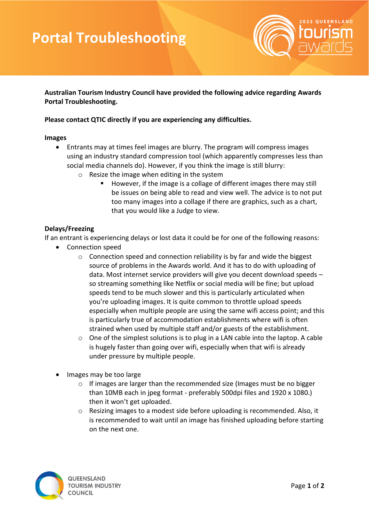# **Portal Troubleshooting**



**Australian Tourism Industry Council have provided the following advice regarding Awards Portal Troubleshooting.** 

### **Please contact QTIC directly if you are experiencing any difficulties.**

#### **Images**

- Entrants may at times feel images are blurry. The program will compress images using an industry standard compression tool (which apparently compresses less than social media channels do). However, if you think the image is still blurry:
	- o Resize the image when editing in the system
		- However, if the image is a collage of different images there may still be issues on being able to read and view well. The advice is to not put too many images into a collage if there are graphics, such as a chart, that you would like a Judge to view.

### **Delays/Freezing**

If an entrant is experiencing delays or lost data it could be for one of the following reasons:

- Connection speed
	- $\circ$  Connection speed and connection reliability is by far and wide the biggest source of problems in the Awards world. And it has to do with uploading of data. Most internet service providers will give you decent download speeds – so streaming something like Netflix or social media will be fine; but upload speeds tend to be much slower and this is particularly articulated when you're uploading images. It is quite common to throttle upload speeds especially when multiple people are using the same wifi access point; and this is particularly true of accommodation establishments where wifi is often strained when used by multiple staff and/or guests of the establishment.
	- $\circ$  One of the simplest solutions is to plug in a LAN cable into the laptop. A cable is hugely faster than going over wifi, especially when that wifi is already under pressure by multiple people.
- Images may be too large
	- o If images are larger than the recommended size (Images must be no bigger than 10MB each in jpeg format - preferably 500dpi files and 1920 x 1080.) then it won't get uploaded.
	- $\circ$  Resizing images to a modest side before uploading is recommended. Also, it is recommended to wait until an image has finished uploading before starting on the next one.